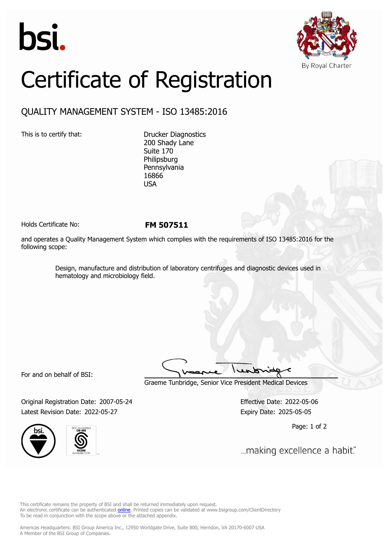



## Certificate of Registration

## QUALITY MANAGEMENT SYSTEM - ISO 13485:2016

This is to certify that: Drucker Diagnostics 200 Shady Lane Suite 170 Philipsburg Pennsylvania 16866 USA

Holds Certificate No: **FM 507511**

and operates a Quality Management System which complies with the requirements of ISO 13485:2016 for the following scope:

> Design, manufacture and distribution of laboratory centrifuges and diagnostic devices used in hematology and microbiology field.

For and on behalf of BSI:

Graeme Tunbridge, Senior Vice President Medical Devices

Original Registration Date: 2007-05-24 Effective Date: 2022-05-06 Latest Revision Date: 2022-05-27 Expiry Date: 2025-05-05



Page: 1 of 2

... making excellence a habit."

This certificate remains the property of BSI and shall be returned immediately upon request. An electronic certificate can be authenticated *[online](https://pgplus.bsigroup.com/CertificateValidation/CertificateValidator.aspx?CertificateNumber=FM+507511&ReIssueDate=27%2f05%2f2022&Template=inc)*. Printed copies can be validated at www.bsigroup.com/ClientDirectory To be read in conjunction with the scope above or the attached appendix.

Americas Headquarters: BSI Group America Inc., 12950 Worldgate Drive, Suite 800, Herndon, VA 20170-6007 USA A Member of the BSI Group of Companies.